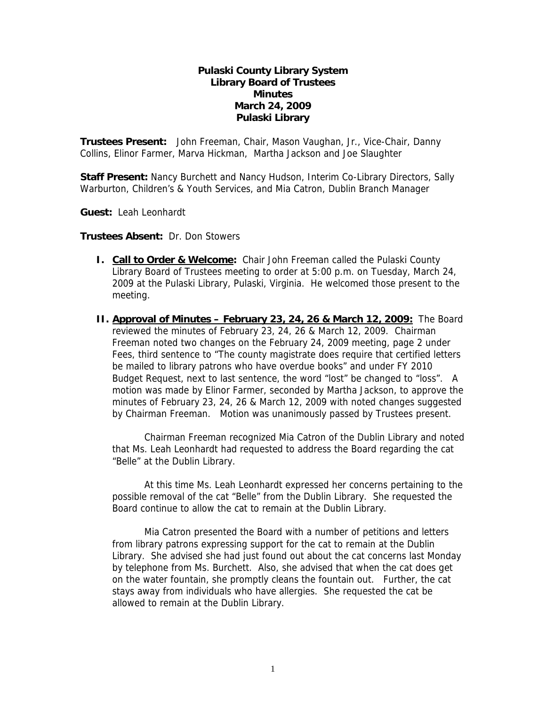### **Pulaski County Library System Library Board of Trustees Minutes March 24, 2009 Pulaski Library**

**Trustees Present:** John Freeman, Chair, Mason Vaughan, Jr., Vice-Chair, Danny Collins, Elinor Farmer, Marva Hickman, Martha Jackson and Joe Slaughter

**Staff Present:** Nancy Burchett and Nancy Hudson, Interim Co-Library Directors, Sally Warburton, Children's & Youth Services, and Mia Catron, Dublin Branch Manager

**Guest:** Leah Leonhardt

**Trustees Absent:** Dr. Don Stowers

- **I.** Call to Order & Welcome: Chair John Freeman called the Pulaski County Library Board of Trustees meeting to order at 5:00 p.m. on Tuesday, March 24, 2009 at the Pulaski Library, Pulaski, Virginia. He welcomed those present to the meeting.
- **II. Approval of Minutes February 23, 24, 26 & March 12, 2009:** The Board reviewed the minutes of February 23, 24, 26 & March 12, 2009. Chairman Freeman noted two changes on the February 24, 2009 meeting, page 2 under Fees, third sentence to "The county magistrate does require that certified letters be mailed to library patrons who have overdue books" and under FY 2010 Budget Request, next to last sentence, the word "lost" be changed to "loss". A motion was made by Elinor Farmer, seconded by Martha Jackson, to approve the minutes of February 23, 24, 26 & March 12, 2009 with noted changes suggested by Chairman Freeman. Motion was unanimously passed by Trustees present.

 Chairman Freeman recognized Mia Catron of the Dublin Library and noted that Ms. Leah Leonhardt had requested to address the Board regarding the cat "Belle" at the Dublin Library.

 At this time Ms. Leah Leonhardt expressed her concerns pertaining to the possible removal of the cat "Belle" from the Dublin Library. She requested the Board continue to allow the cat to remain at the Dublin Library.

 Mia Catron presented the Board with a number of petitions and letters from library patrons expressing support for the cat to remain at the Dublin Library. She advised she had just found out about the cat concerns last Monday by telephone from Ms. Burchett. Also, she advised that when the cat does get on the water fountain, she promptly cleans the fountain out. Further, the cat stays away from individuals who have allergies. She requested the cat be allowed to remain at the Dublin Library.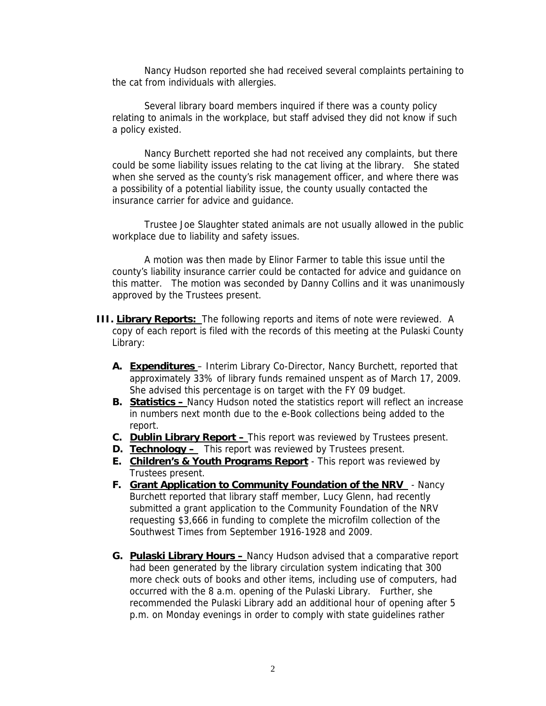Nancy Hudson reported she had received several complaints pertaining to the cat from individuals with allergies.

 Several library board members inquired if there was a county policy relating to animals in the workplace, but staff advised they did not know if such a policy existed.

 Nancy Burchett reported she had not received any complaints, but there could be some liability issues relating to the cat living at the library. She stated when she served as the county's risk management officer, and where there was a possibility of a potential liability issue, the county usually contacted the insurance carrier for advice and guidance.

 Trustee Joe Slaughter stated animals are not usually allowed in the public workplace due to liability and safety issues.

 A motion was then made by Elinor Farmer to table this issue until the county's liability insurance carrier could be contacted for advice and guidance on this matter. The motion was seconded by Danny Collins and it was unanimously approved by the Trustees present.

- **III. Library Reports:** The following reports and items of note were reviewed. A copy of each report is filed with the records of this meeting at the Pulaski County Library:
	- **A. Expenditures** Interim Library Co-Director, Nancy Burchett, reported that approximately 33% of library funds remained unspent as of March 17, 2009. She advised this percentage is on target with the FY 09 budget.
	- **B. Statistics** Nancy Hudson noted the statistics report will reflect an increase in numbers next month due to the e-Book collections being added to the report.
	- **C. Dublin Library Report** This report was reviewed by Trustees present.
	- **D. Technology** This report was reviewed by Trustees present.
	- **E. Children's & Youth Programs Report** This report was reviewed by Trustees present.
	- **F. Grant Application to Community Foundation of the NRV**  Nancy Burchett reported that library staff member, Lucy Glenn, had recently submitted a grant application to the Community Foundation of the NRV requesting \$3,666 in funding to complete the microfilm collection of the Southwest Times from September 1916-1928 and 2009.
	- **G. Pulaski Library Hours** Nancy Hudson advised that a comparative report had been generated by the library circulation system indicating that 300 more check outs of books and other items, including use of computers, had occurred with the 8 a.m. opening of the Pulaski Library. Further, she recommended the Pulaski Library add an additional hour of opening after 5 p.m. on Monday evenings in order to comply with state guidelines rather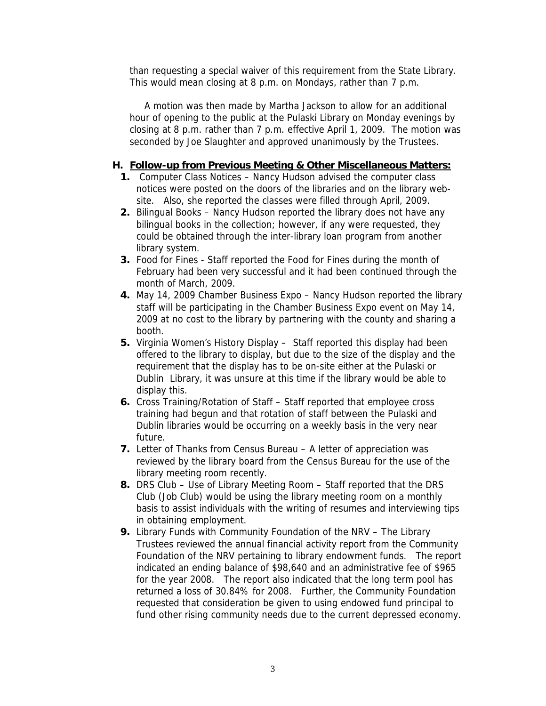than requesting a special waiver of this requirement from the State Library. This would mean closing at 8 p.m. on Mondays, rather than 7 p.m.

A motion was then made by Martha Jackson to allow for an additional hour of opening to the public at the Pulaski Library on Monday evenings by closing at 8 p.m. rather than 7 p.m. effective April 1, 2009. The motion was seconded by Joe Slaughter and approved unanimously by the Trustees.

## **H. Follow-up from Previous Meeting & Other Miscellaneous Matters:**

- **1.** Computer Class Notices Nancy Hudson advised the computer class notices were posted on the doors of the libraries and on the library website. Also, she reported the classes were filled through April, 2009.
- **2.** Bilingual Books Nancy Hudson reported the library does not have any bilingual books in the collection; however, if any were requested, they could be obtained through the inter-library loan program from another library system.
- **3.** Food for Fines Staff reported the Food for Fines during the month of February had been very successful and it had been continued through the month of March, 2009.
- **4.** May 14, 2009 Chamber Business Expo Nancy Hudson reported the library staff will be participating in the Chamber Business Expo event on May 14, 2009 at no cost to the library by partnering with the county and sharing a booth.
- **5.** Virginia Women's History Display Staff reported this display had been offered to the library to display, but due to the size of the display and the requirement that the display has to be on-site either at the Pulaski or Dublin Library, it was unsure at this time if the library would be able to display this.
- **6.** Cross Training/Rotation of Staff Staff reported that employee cross training had begun and that rotation of staff between the Pulaski and Dublin libraries would be occurring on a weekly basis in the very near future.
- **7.** Letter of Thanks from Census Bureau A letter of appreciation was reviewed by the library board from the Census Bureau for the use of the library meeting room recently.
- **8.** DRS Club Use of Library Meeting Room Staff reported that the DRS Club (Job Club) would be using the library meeting room on a monthly basis to assist individuals with the writing of resumes and interviewing tips in obtaining employment.
- **9.** Library Funds with Community Foundation of the NRV The Library Trustees reviewed the annual financial activity report from the Community Foundation of the NRV pertaining to library endowment funds. The report indicated an ending balance of \$98,640 and an administrative fee of \$965 for the year 2008. The report also indicated that the long term pool has returned a loss of 30.84% for 2008. Further, the Community Foundation requested that consideration be given to using endowed fund principal to fund other rising community needs due to the current depressed economy.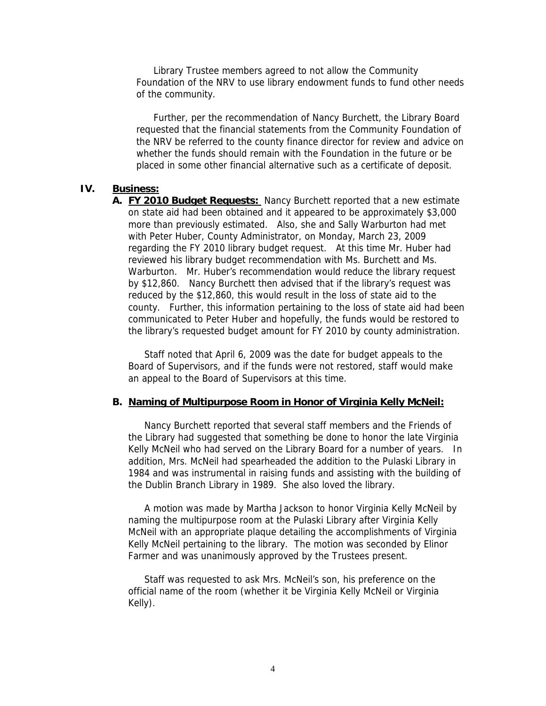Library Trustee members agreed to not allow the Community Foundation of the NRV to use library endowment funds to fund other needs of the community.

 Further, per the recommendation of Nancy Burchett, the Library Board requested that the financial statements from the Community Foundation of the NRV be referred to the county finance director for review and advice on whether the funds should remain with the Foundation in the future or be placed in some other financial alternative such as a certificate of deposit.

#### **IV. Business:**

**A. FY 2010 Budget Requests:** Nancy Burchett reported that a new estimate on state aid had been obtained and it appeared to be approximately \$3,000 more than previously estimated. Also, she and Sally Warburton had met with Peter Huber, County Administrator, on Monday, March 23, 2009 regarding the FY 2010 library budget request. At this time Mr. Huber had reviewed his library budget recommendation with Ms. Burchett and Ms. Warburton. Mr. Huber's recommendation would reduce the library request by \$12,860. Nancy Burchett then advised that if the library's request was reduced by the \$12,860, this would result in the loss of state aid to the county. Further, this information pertaining to the loss of state aid had been communicated to Peter Huber and hopefully, the funds would be restored to the library's requested budget amount for FY 2010 by county administration.

Staff noted that April 6, 2009 was the date for budget appeals to the Board of Supervisors, and if the funds were not restored, staff would make an appeal to the Board of Supervisors at this time.

#### **B. Naming of Multipurpose Room in Honor of Virginia Kelly McNeil:**

Nancy Burchett reported that several staff members and the Friends of the Library had suggested that something be done to honor the late Virginia Kelly McNeil who had served on the Library Board for a number of years. In addition, Mrs. McNeil had spearheaded the addition to the Pulaski Library in 1984 and was instrumental in raising funds and assisting with the building of the Dublin Branch Library in 1989. She also loved the library.

A motion was made by Martha Jackson to honor Virginia Kelly McNeil by naming the multipurpose room at the Pulaski Library after Virginia Kelly McNeil with an appropriate plaque detailing the accomplishments of Virginia Kelly McNeil pertaining to the library. The motion was seconded by Elinor Farmer and was unanimously approved by the Trustees present.

Staff was requested to ask Mrs. McNeil's son, his preference on the official name of the room (whether it be Virginia Kelly McNeil or Virginia Kelly).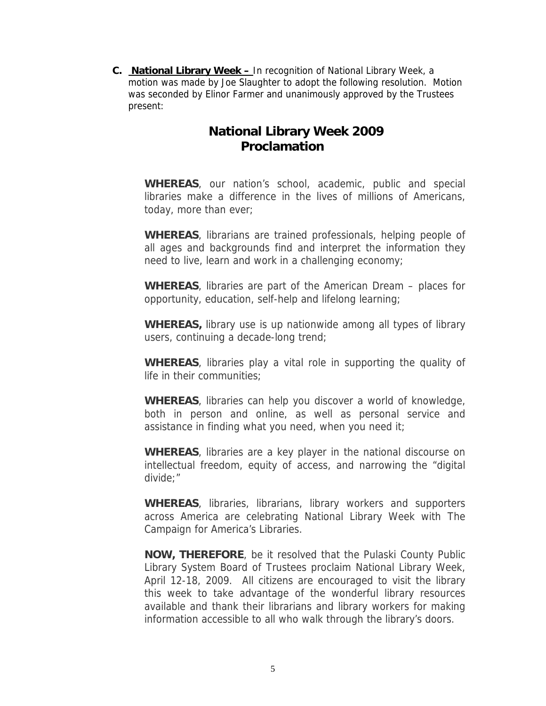**C. National Library Week –** In recognition of National Library Week, a motion was made by Joe Slaughter to adopt the following resolution. Motion was seconded by Elinor Farmer and unanimously approved by the Trustees present:

# **National Library Week 2009 Proclamation**

**WHEREAS**, our nation's school, academic, public and special libraries make a difference in the lives of millions of Americans, today, more than ever;

**WHEREAS**, librarians are trained professionals, helping people of all ages and backgrounds find and interpret the information they need to live, learn and work in a challenging economy;

**WHEREAS**, libraries are part of the American Dream – places for opportunity, education, self-help and lifelong learning;

**WHEREAS,** library use is up nationwide among all types of library users, continuing a decade-long trend;

**WHEREAS**, libraries play a vital role in supporting the quality of life in their communities;

**WHEREAS**, libraries can help you discover a world of knowledge, both in person and online, as well as personal service and assistance in finding what you need, when you need it;

**WHEREAS**, libraries are a key player in the national discourse on intellectual freedom, equity of access, and narrowing the "digital divide;"

**WHEREAS**, libraries, librarians, library workers and supporters across America are celebrating National Library Week with The Campaign for America's Libraries.

**NOW, THEREFORE**, be it resolved that the Pulaski County Public Library System Board of Trustees proclaim National Library Week, April 12-18, 2009. All citizens are encouraged to visit the library this week to take advantage of the wonderful library resources available and thank their librarians and library workers for making information accessible to all who walk through the library's doors.